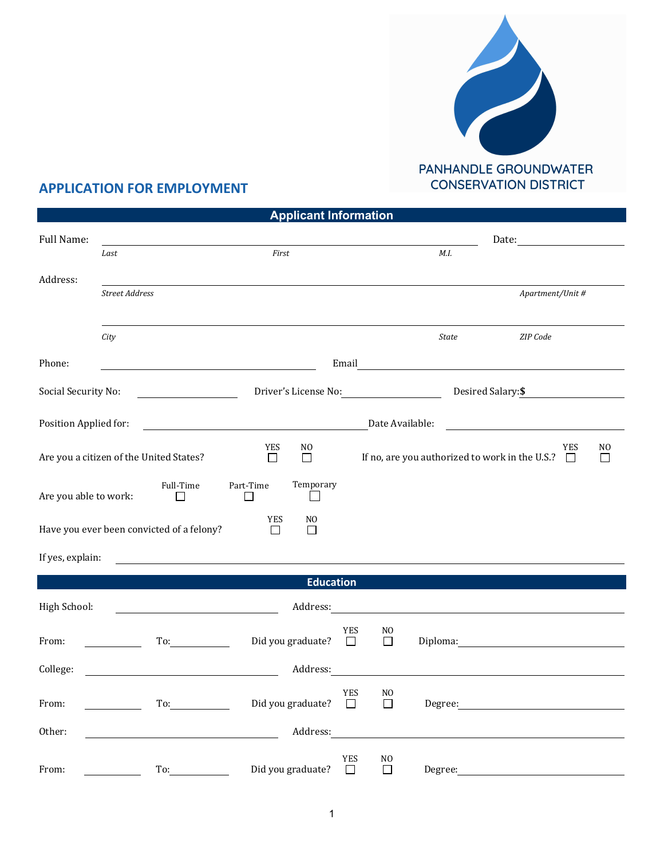

## **APPLICATION FOR EMPLOYMENT**

|                                                                |                |                                                                                                                                                                                                                                |                       | <b>Applicant Information</b> |                                                    |                           |                                                                     |                                                                                                                                                                                                                                |  |  |
|----------------------------------------------------------------|----------------|--------------------------------------------------------------------------------------------------------------------------------------------------------------------------------------------------------------------------------|-----------------------|------------------------------|----------------------------------------------------|---------------------------|---------------------------------------------------------------------|--------------------------------------------------------------------------------------------------------------------------------------------------------------------------------------------------------------------------------|--|--|
| Full Name:                                                     |                |                                                                                                                                                                                                                                |                       |                              | Date:<br><u> 1980 - Jan Barat, prima politik (</u> |                           |                                                                     |                                                                                                                                                                                                                                |  |  |
|                                                                | Last           |                                                                                                                                                                                                                                | First                 |                              |                                                    |                           | M.I.                                                                |                                                                                                                                                                                                                                |  |  |
| Address:                                                       |                |                                                                                                                                                                                                                                |                       |                              |                                                    |                           |                                                                     |                                                                                                                                                                                                                                |  |  |
|                                                                | Street Address |                                                                                                                                                                                                                                |                       |                              |                                                    |                           |                                                                     | Apartment/Unit #                                                                                                                                                                                                               |  |  |
|                                                                | City           |                                                                                                                                                                                                                                |                       |                              |                                                    |                           | <b>State</b>                                                        | ZIP Code                                                                                                                                                                                                                       |  |  |
| Phone:                                                         |                |                                                                                                                                                                                                                                |                       |                              |                                                    |                           |                                                                     |                                                                                                                                                                                                                                |  |  |
| Social Security No:<br><u> 1990 - Johann Barbara, martin a</u> |                |                                                                                                                                                                                                                                | Driver's License No:  |                              |                                                    |                           | Desired Salary: \$                                                  |                                                                                                                                                                                                                                |  |  |
| Position Applied for:                                          |                |                                                                                                                                                                                                                                |                       |                              |                                                    |                           | Date Available:                                                     |                                                                                                                                                                                                                                |  |  |
| Are you a citizen of the United States?                        |                | <b>YES</b><br>$\Box$                                                                                                                                                                                                           | NO.<br>П              |                              |                                                    |                           | <b>YES</b><br>If no, are you authorized to work in the U.S.? $\Box$ | N <sub>0</sub><br>$\Box$                                                                                                                                                                                                       |  |  |
| Are you able to work:                                          |                | Full-Time<br>$\Box$                                                                                                                                                                                                            | Part-Time<br>ΙI       | Temporary<br>$\sim$          |                                                    |                           |                                                                     |                                                                                                                                                                                                                                |  |  |
|                                                                |                | Have you ever been convicted of a felony?                                                                                                                                                                                      | <b>YES</b><br>$\perp$ | N <sub>0</sub><br>П          |                                                    |                           |                                                                     |                                                                                                                                                                                                                                |  |  |
| If yes, explain:                                               |                |                                                                                                                                                                                                                                |                       |                              |                                                    |                           |                                                                     |                                                                                                                                                                                                                                |  |  |
|                                                                |                |                                                                                                                                                                                                                                |                       | <b>Education</b>             |                                                    |                           |                                                                     |                                                                                                                                                                                                                                |  |  |
| High School:                                                   |                | <u> 1980 - Johann Barbara, martin a</u>                                                                                                                                                                                        |                       | Address:                     |                                                    |                           |                                                                     |                                                                                                                                                                                                                                |  |  |
| From:                                                          |                | To: and the state of the state of the state of the state of the state of the state of the state of the state of the state of the state of the state of the state of the state of the state of the state of the state of the st |                       | Did you graduate?            | <b>YES</b><br>$\Box$                               | N <sub>O</sub><br>$\Box$  |                                                                     | Diploma: The contract of the contract of the contract of the contract of the contract of the contract of the contract of the contract of the contract of the contract of the contract of the contract of the contract of the c |  |  |
| College:                                                       |                | <u> 1980 - Johann Barn, mars eta bainar eta baina eta baina eta baina eta baina eta baina eta baina eta baina e</u>                                                                                                            |                       | Address:                     |                                                    |                           |                                                                     |                                                                                                                                                                                                                                |  |  |
| From:                                                          |                | To:                                                                                                                                                                                                                            |                       | Did you graduate?            | <b>YES</b><br>$\Box$                               | N <sub>O</sub><br>$\perp$ |                                                                     | Degree: the contract of the contract of the contract of the contract of the contract of the contract of the contract of the contract of the contract of the contract of the contract of the contract of the contract of the co |  |  |
| Other:                                                         |                | <u> 1989 - Johann Barbara, martin amerikan basar dan basa dan basar dalam basa dalam basa dalam basa dalam basa </u>                                                                                                           |                       | Address:                     |                                                    |                           |                                                                     |                                                                                                                                                                                                                                |  |  |
| From:                                                          |                | To:                                                                                                                                                                                                                            |                       | Did you graduate?            | <b>YES</b><br>$\Box$                               | N <sub>0</sub><br>$\Box$  | Degree:                                                             |                                                                                                                                                                                                                                |  |  |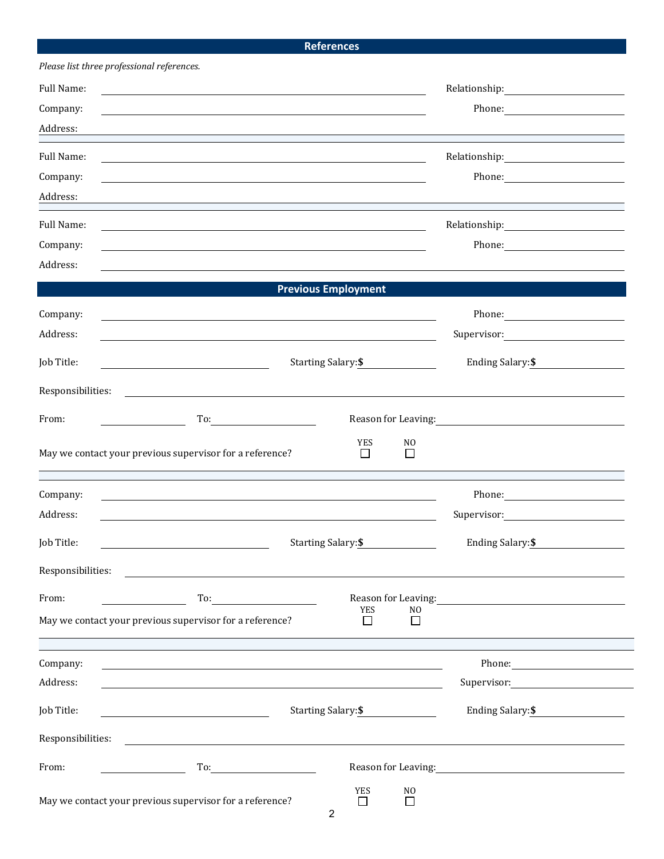## **References**

| Please list three professional references. |                                                                                                                        |                                        |                                                                                                               |                                                                                                                                                                                                                                        |  |  |  |
|--------------------------------------------|------------------------------------------------------------------------------------------------------------------------|----------------------------------------|---------------------------------------------------------------------------------------------------------------|----------------------------------------------------------------------------------------------------------------------------------------------------------------------------------------------------------------------------------------|--|--|--|
| Full Name:                                 |                                                                                                                        |                                        |                                                                                                               | Relationship: The Management of the Relationship:                                                                                                                                                                                      |  |  |  |
| Company:                                   |                                                                                                                        |                                        | Phone: 2008 2010 2010 2010 2010 2010 2021 2022 2023 2024 2022 2023 2024 2025 2026 2027 2028 2020 2021 2022 20 |                                                                                                                                                                                                                                        |  |  |  |
| Address:                                   |                                                                                                                        |                                        |                                                                                                               |                                                                                                                                                                                                                                        |  |  |  |
| Full Name:                                 |                                                                                                                        |                                        |                                                                                                               | $\begin{tabular}{c} Relationship: \begin{tabular}{@{}c@{}} \quad \quad \quad & \quad \quad & \quad \quad \\ \hline \end{tabular} \end{tabular}$                                                                                        |  |  |  |
| Company:                                   |                                                                                                                        |                                        |                                                                                                               |                                                                                                                                                                                                                                        |  |  |  |
| Address:                                   |                                                                                                                        |                                        |                                                                                                               |                                                                                                                                                                                                                                        |  |  |  |
| Full Name:                                 |                                                                                                                        |                                        |                                                                                                               |                                                                                                                                                                                                                                        |  |  |  |
| Company:                                   |                                                                                                                        |                                        |                                                                                                               | Phone: 2008 2010 2010 2010 2010 2021 2022 2023 2024 2022 2023 2024 2022 2023 2024 2025 2026 2027 2028 2027 2028 2029 2020 2021 2022 2023 2029 2020 2021 2022 2023 2029 2021 2022 2023 2029 2021 2022 2023 2029 2021 2022 2023          |  |  |  |
| Address:                                   |                                                                                                                        |                                        |                                                                                                               |                                                                                                                                                                                                                                        |  |  |  |
|                                            |                                                                                                                        | <b>Previous Employment</b>             |                                                                                                               |                                                                                                                                                                                                                                        |  |  |  |
| Company:                                   |                                                                                                                        |                                        |                                                                                                               |                                                                                                                                                                                                                                        |  |  |  |
| Address:                                   | <u> 1989 - Johann Barn, mars ann an t-Amhain ann an t-Amhain ann an t-Amhain ann an t-Amhain an t-Amhain ann an t-</u> |                                        |                                                                                                               |                                                                                                                                                                                                                                        |  |  |  |
|                                            | and the control of the control of the control of the control of the control of the control of the control of the       |                                        |                                                                                                               | Ending Salary:\$                                                                                                                                                                                                                       |  |  |  |
| Job Title:                                 | <u> 1989 - Johann Stoff, amerikansk politiker (</u>                                                                    | Starting Salary: \$                    |                                                                                                               |                                                                                                                                                                                                                                        |  |  |  |
| Responsibilities:                          | <u> 1980 - Jan Stein Stein Stein Stein Stein Stein Stein Stein Stein Stein Stein Stein Stein Stein Stein Stein S</u>   |                                        |                                                                                                               |                                                                                                                                                                                                                                        |  |  |  |
| From:                                      | To: $\qquad \qquad \qquad$                                                                                             |                                        |                                                                                                               |                                                                                                                                                                                                                                        |  |  |  |
|                                            |                                                                                                                        | <b>YES</b>                             | NO                                                                                                            |                                                                                                                                                                                                                                        |  |  |  |
|                                            | May we contact your previous supervisor for a reference?                                                               | □                                      | П                                                                                                             |                                                                                                                                                                                                                                        |  |  |  |
|                                            |                                                                                                                        |                                        |                                                                                                               |                                                                                                                                                                                                                                        |  |  |  |
| Company:                                   |                                                                                                                        |                                        |                                                                                                               |                                                                                                                                                                                                                                        |  |  |  |
| Address:                                   |                                                                                                                        |                                        |                                                                                                               |                                                                                                                                                                                                                                        |  |  |  |
| Job Title:                                 |                                                                                                                        | <b>Starting Salary: \$</b>             |                                                                                                               | Ending Salary: \$                                                                                                                                                                                                                      |  |  |  |
| Responsibilities:                          |                                                                                                                        |                                        |                                                                                                               |                                                                                                                                                                                                                                        |  |  |  |
|                                            |                                                                                                                        |                                        |                                                                                                               |                                                                                                                                                                                                                                        |  |  |  |
| From:                                      | To: $\qquad \qquad$                                                                                                    | YES                                    | N <sub>0</sub>                                                                                                | Reason for Leaving:<br><u>example and the set of the set of the set of the set of the set of the set of the set of the set of the set of the set of the set of the set of the set of the set of the set of the set of the set of t</u> |  |  |  |
|                                            | May we contact your previous supervisor for a reference?                                                               | ΙI                                     | П                                                                                                             |                                                                                                                                                                                                                                        |  |  |  |
|                                            |                                                                                                                        |                                        |                                                                                                               |                                                                                                                                                                                                                                        |  |  |  |
| Company:<br>Address:                       | <u> 1989 - Johann Stoff, deutscher Stoff, der Stoff, der Stoff, der Stoff, der Stoff, der Stoff, der Stoff, der S</u>  |                                        |                                                                                                               |                                                                                                                                                                                                                                        |  |  |  |
|                                            |                                                                                                                        |                                        |                                                                                                               | Supervisor:                                                                                                                                                                                                                            |  |  |  |
| Job Title:                                 |                                                                                                                        | Starting Salary: \$                    |                                                                                                               | Ending Salary: \$                                                                                                                                                                                                                      |  |  |  |
| Responsibilities:                          |                                                                                                                        |                                        |                                                                                                               |                                                                                                                                                                                                                                        |  |  |  |
| From:                                      |                                                                                                                        | Reason for Leaving:<br><u>Leaving:</u> |                                                                                                               |                                                                                                                                                                                                                                        |  |  |  |
|                                            |                                                                                                                        | <b>YES</b>                             | N <sub>O</sub>                                                                                                |                                                                                                                                                                                                                                        |  |  |  |
|                                            | May we contact your previous supervisor for a reference?                                                               | $\perp$                                | П                                                                                                             |                                                                                                                                                                                                                                        |  |  |  |